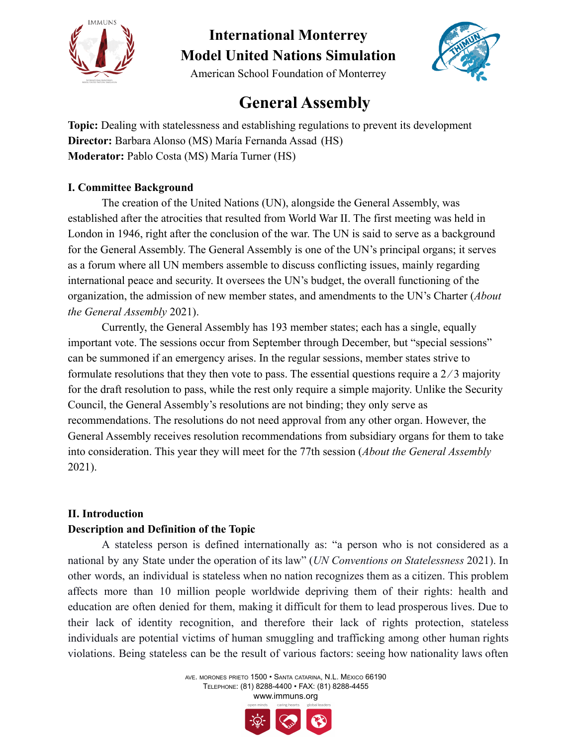



American School Foundation of Monterrey

### **General Assembly**

**Topic:** Dealing with statelessness and establishing regulations to prevent its development **Director:** Barbara Alonso (MS) María Fernanda Assad (HS) **Moderator:** Pablo Costa (MS) María Turner (HS)

### **I. Committee Background**

The creation of the United Nations (UN), alongside the General Assembly, was established after the atrocities that resulted from World War II. The first meeting was held in London in 1946, right after the conclusion of the war. The UN is said to serve as a background for the General Assembly. The General Assembly is one of the UN's principal organs; it serves as a forum where all UN members assemble to discuss conflicting issues, mainly regarding international peace and security. It oversees the UN's budget, the overall functioning of the organization, the admission of new member states, and amendments to the UN's Charter (*About the General Assembly* 2021).

Currently, the General Assembly has 193 member states; each has a single, equally important vote. The sessions occur from September through December, but "special sessions" can be summoned if an emergency arises. In the regular sessions, member states strive to formulate resolutions that they then vote to pass. The essential questions require a  $2/3$  majority for the draft resolution to pass, while the rest only require a simple majority. Unlike the Security Council, the General Assembly's resolutions are not binding; they only serve as recommendations. The resolutions do not need approval from any other organ. However, the General Assembly receives resolution recommendations from subsidiary organs for them to take into consideration. This year they will meet for the 77th session (*About the General Assembly* 2021).

### **II. Introduction**

#### **Description and Definition of the Topic**

A stateless person is defined internationally as: "a person who is not considered as a national by any State under the operation of its law" (*UN Conventions on Statelessness* 2021). In other words, an individual is stateless when no nation recognizes them as a citizen. This problem affects more than 10 million people worldwide depriving them of their rights: health and education are often denied for them, making it difficult for them to lead prosperous lives. Due to their lack of identity recognition, and therefore their lack of rights protection, stateless individuals are potential victims of human smuggling and trafficking among other human rights violations. Being stateless can be the result of various factors: seeing how nationality laws often

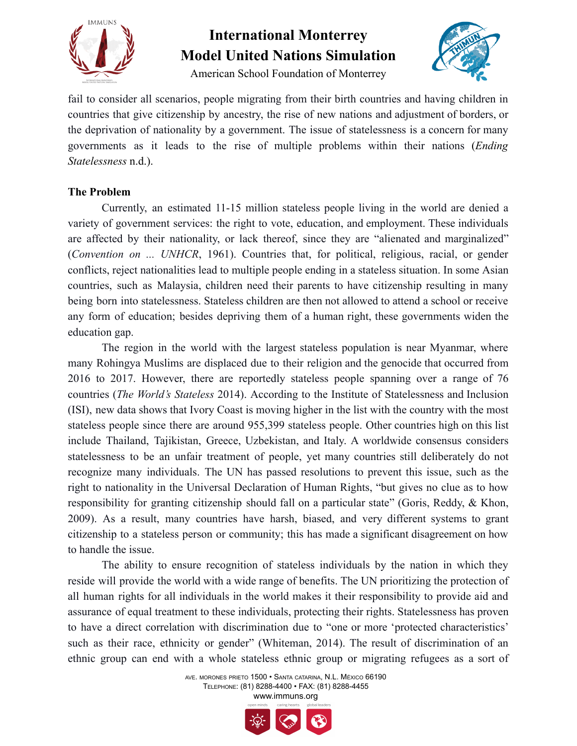

American School Foundation of Monterrey



fail to consider all scenarios, people migrating from their birth countries and having children in countries that give citizenship by ancestry, the rise of new nations and adjustment of borders, or the deprivation of nationality by a government. The issue of statelessness is a concern for many governments as it leads to the rise of multiple problems within their nations (*Ending Statelessness* n.d.).

#### **The Problem**

Currently, an estimated 11-15 million stateless people living in the world are denied a variety of government services: the right to vote, education, and employment. These individuals are affected by their nationality, or lack thereof, since they are "alienated and marginalized" (*Convention on ... UNHCR*, 1961). Countries that, for political, religious, racial, or gender conflicts, reject nationalities lead to multiple people ending in a stateless situation. In some Asian countries, such as Malaysia, children need their parents to have citizenship resulting in many being born into statelessness. Stateless children are then not allowed to attend a school or receive any form of education; besides depriving them of a human right, these governments widen the education gap.

The region in the world with the largest stateless population is near Myanmar, where many Rohingya Muslims are displaced due to their religion and the genocide that occurred from 2016 to 2017. However, there are reportedly stateless people spanning over a range of 76 countries (*The World's Stateless* 2014). According to the Institute of Statelessness and Inclusion (ISI), new data shows that Ivory Coast is moving higher in the list with the country with the most stateless people since there are around 955,399 stateless people. Other countries high on this list include Thailand, Tajikistan, Greece, Uzbekistan, and Italy. A worldwide consensus considers statelessness to be an unfair treatment of people, yet many countries still deliberately do not recognize many individuals. The UN has passed resolutions to prevent this issue, such as the right to nationality in the Universal Declaration of Human Rights, "but gives no clue as to how responsibility for granting citizenship should fall on a particular state" (Goris, Reddy, & Khon, 2009). As a result, many countries have harsh, biased, and very different systems to grant citizenship to a stateless person or community; this has made a significant disagreement on how to handle the issue.

The ability to ensure recognition of stateless individuals by the nation in which they reside will provide the world with a wide range of benefits. The UN prioritizing the protection of all human rights for all individuals in the world makes it their responsibility to provide aid and assurance of equal treatment to these individuals, protecting their rights. Statelessness has proven to have a direct correlation with discrimination due to "one or more 'protected characteristics' such as their race, ethnicity or gender" (Whiteman, 2014). The result of discrimination of an ethnic group can end with a whole stateless ethnic group or migrating refugees as a sort of

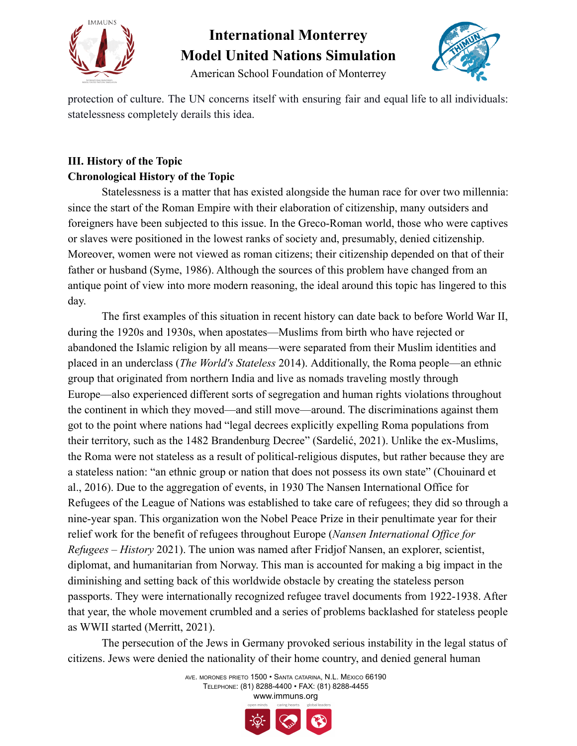



American School Foundation of Monterrey

protection of culture. The UN concerns itself with ensuring fair and equal life to all individuals: statelessness completely derails this idea.

### **III. History of the Topic Chronological History of the Topic**

Statelessness is a matter that has existed alongside the human race for over two millennia: since the start of the Roman Empire with their elaboration of citizenship, many outsiders and foreigners have been subjected to this issue. In the Greco-Roman world, those who were captives or slaves were positioned in the lowest ranks of society and, presumably, denied citizenship. Moreover, women were not viewed as roman citizens; their citizenship depended on that of their father or husband (Syme, 1986). Although the sources of this problem have changed from an antique point of view into more modern reasoning, the ideal around this topic has lingered to this day.

The first examples of this situation in recent history can date back to before World War II, during the 1920s and 1930s, when apostates—Muslims from birth who have rejected or abandoned the Islamic religion by all means—were separated from their Muslim identities and placed in an underclass (*The World's Stateless* 2014). Additionally, the Roma people—an ethnic group that originated from northern India and live as nomads traveling mostly through Europe—also experienced different sorts of segregation and human rights violations throughout the continent in which they moved—and still move—around. The discriminations against them got to the point where nations had "legal decrees explicitly expelling Roma populations from their territory, such as the 1482 Brandenburg Decree" (Sardelić, 2021). Unlike the ex-Muslims, the Roma were not stateless as a result of political-religious disputes, but rather because they are a stateless nation: "an ethnic group or nation that does not possess its own state" (Chouinard et al., 2016). Due to the aggregation of events, in 1930 The Nansen International Office for Refugees of the League of Nations was established to take care of refugees; they did so through a nine-year span. This organization won the Nobel Peace Prize in their penultimate year for their relief work for the benefit of refugees throughout Europe (*Nansen International Office for Refugees – History* 2021). The union was named after Fridjof Nansen, an explorer, scientist, diplomat, and humanitarian from Norway. This man is accounted for making a big impact in the diminishing and setting back of this worldwide obstacle by creating the stateless person passports. They were internationally recognized refugee travel documents from 1922-1938. After that year, the whole movement crumbled and a series of problems backlashed for stateless people as WWII started (Merritt, 2021).

The persecution of the Jews in Germany provoked serious instability in the legal status of citizens. Jews were denied the nationality of their home country, and denied general human

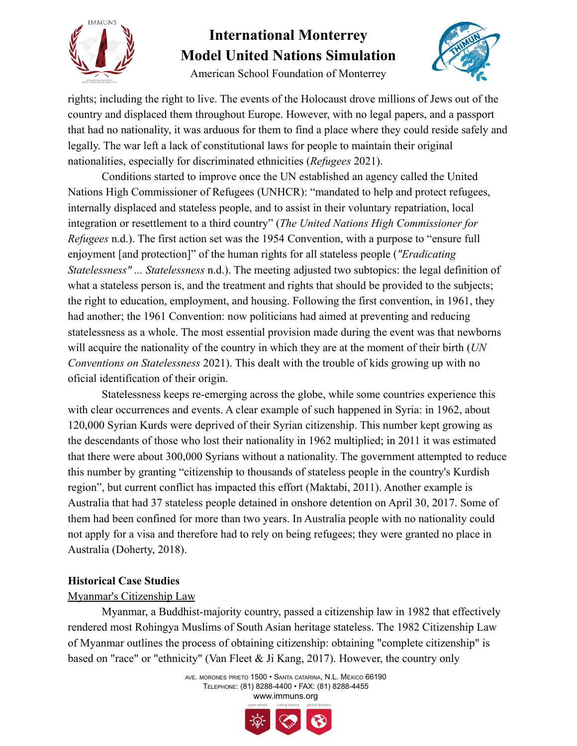

American School Foundation of Monterrey



rights; including the right to live. The events of the Holocaust drove millions of Jews out of the country and displaced them throughout Europe. However, with no legal papers, and a passport that had no nationality, it was arduous for them to find a place where they could reside safely and legally. The war left a lack of constitutional laws for people to maintain their original nationalities, especially for discriminated ethnicities (*Refugees* 2021).

Conditions started to improve once the UN established an agency called the United Nations High Commissioner of Refugees (UNHCR): "mandated to help and protect refugees, internally displaced and stateless people, and to assist in their voluntary repatriation, local integration or resettlement to a third country" (*The United Nations High Commissioner for Refugees* n.d.). The first action set was the 1954 Convention, with a purpose to "ensure full enjoyment [and protection]" of the human rights for all stateless people (*"Eradicating Statelessness" ... Statelessness* n.d.). The meeting adjusted two subtopics: the legal definition of what a stateless person is, and the treatment and rights that should be provided to the subjects; the right to education, employment, and housing. Following the first convention, in 1961, they had another; the 1961 Convention: now politicians had aimed at preventing and reducing statelessness as a whole. The most essential provision made during the event was that newborns will acquire the nationality of the country in which they are at the moment of their birth (*UN Conventions on Statelessness* 2021). This dealt with the trouble of kids growing up with no oficial identification of their origin.

Statelessness keeps re-emerging across the globe, while some countries experience this with clear occurrences and events. A clear example of such happened in Syria: in 1962, about 120,000 Syrian Kurds were deprived of their Syrian citizenship. This number kept growing as the descendants of those who lost their nationality in 1962 multiplied; in 2011 it was estimated that there were about 300,000 Syrians without a nationality. The government attempted to reduce this number by granting "citizenship to thousands of stateless people in the country's Kurdish region", but current conflict has impacted this effort (Maktabi, 2011). Another example is Australia that had 37 stateless people detained in onshore detention on April 30, 2017. Some of them had been confined for more than two years. In Australia people with no nationality could not apply for a visa and therefore had to rely on being refugees; they were granted no place in Australia (Doherty, 2018).

#### **Historical Case Studies**

#### Myanmar's Citizenship Law

Myanmar, a Buddhist-majority country, passed a citizenship law in 1982 that effectively rendered most Rohingya Muslims of South Asian heritage stateless. The 1982 Citizenship Law of Myanmar outlines the process of obtaining citizenship: obtaining "complete citizenship" is based on "race" or "ethnicity" (Van Fleet & Ji Kang, 2017). However, the country only

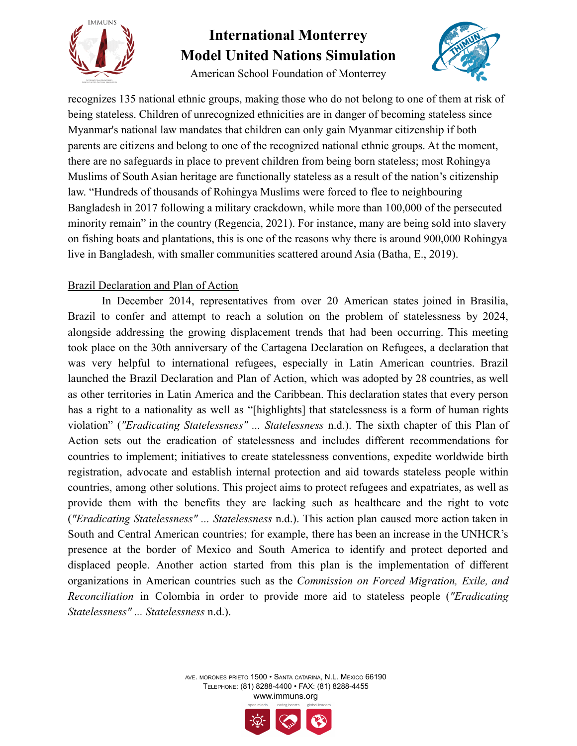

American School Foundation of Monterrey



recognizes 135 national ethnic groups, making those who do not belong to one of them at risk of being stateless. Children of unrecognized ethnicities are in danger of becoming stateless since Myanmar's national law mandates that children can only gain Myanmar citizenship if both parents are citizens and belong to one of the recognized national ethnic groups. At the moment, there are no safeguards in place to prevent children from being born stateless; most Rohingya Muslims of South Asian heritage are functionally stateless as a result of the nation's citizenship law. "Hundreds of thousands of Rohingya Muslims were forced to flee to neighbouring Bangladesh in 2017 following a military crackdown, while more than 100,000 of the persecuted minority remain" in the country (Regencia, 2021). For instance, many are being sold into slavery on fishing boats and plantations, this is one of the reasons why there is around 900,000 Rohingya live in Bangladesh, with smaller communities scattered around Asia (Batha, E., 2019).

#### Brazil Declaration and Plan of Action

In December 2014, representatives from over 20 American states joined in Brasilia, Brazil to confer and attempt to reach a solution on the problem of statelessness by 2024, alongside addressing the growing displacement trends that had been occurring. This meeting took place on the 30th anniversary of the Cartagena Declaration on Refugees, a declaration that was very helpful to international refugees, especially in Latin American countries. Brazil launched the Brazil Declaration and Plan of Action, which was adopted by 28 countries, as well as other territories in Latin America and the Caribbean. This declaration states that every person has a right to a nationality as well as "[highlights] that statelessness is a form of human rights violation" (*"Eradicating Statelessness" ... Statelessness* n.d.). The sixth chapter of this Plan of Action sets out the eradication of statelessness and includes different recommendations for countries to implement; initiatives to create statelessness conventions, expedite worldwide birth registration, advocate and establish internal protection and aid towards stateless people within countries, among other solutions. This project aims to protect refugees and expatriates, as well as provide them with the benefits they are lacking such as healthcare and the right to vote (*"Eradicating Statelessness" ... Statelessness* n.d.). This action plan caused more action taken in South and Central American countries; for example, there has been an increase in the UNHCR's presence at the border of Mexico and South America to identify and protect deported and displaced people. Another action started from this plan is the implementation of different organizations in American countries such as the *Commission on Forced Migration, Exile, and Reconciliation* in Colombia in order to provide more aid to stateless people (*"Eradicating Statelessness" ... Statelessness* n.d.).

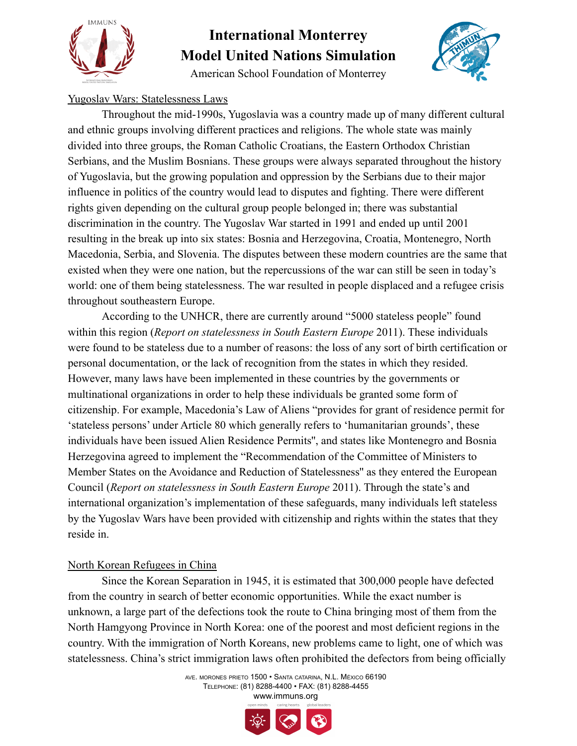

American School Foundation of Monterrey



### Yugoslav Wars: Statelessness Laws

Throughout the mid-1990s, Yugoslavia was a country made up of many different cultural and ethnic groups involving different practices and religions. The whole state was mainly divided into three groups, the Roman Catholic Croatians, the Eastern Orthodox Christian Serbians, and the Muslim Bosnians. These groups were always separated throughout the history of Yugoslavia, but the growing population and oppression by the Serbians due to their major influence in politics of the country would lead to disputes and fighting. There were different rights given depending on the cultural group people belonged in; there was substantial discrimination in the country. The Yugoslav War started in 1991 and ended up until 2001 resulting in the break up into six states: Bosnia and Herzegovina, Croatia, Montenegro, North Macedonia, Serbia, and Slovenia. The disputes between these modern countries are the same that existed when they were one nation, but the repercussions of the war can still be seen in today's world: one of them being statelessness. The war resulted in people displaced and a refugee crisis throughout southeastern Europe.

According to the UNHCR, there are currently around "5000 stateless people" found within this region (*Report on statelessness in South Eastern Europe* 2011). These individuals were found to be stateless due to a number of reasons: the loss of any sort of birth certification or personal documentation, or the lack of recognition from the states in which they resided. However, many laws have been implemented in these countries by the governments or multinational organizations in order to help these individuals be granted some form of citizenship. For example, Macedonia's Law of Aliens "provides for grant of residence permit for 'stateless persons' under Article 80 which generally refers to 'humanitarian grounds', these individuals have been issued Alien Residence Permits'', and states like Montenegro and Bosnia Herzegovina agreed to implement the "Recommendation of the Committee of Ministers to Member States on the Avoidance and Reduction of Statelessness'' as they entered the European Council (*Report on statelessness in South Eastern Europe* 2011). Through the state's and international organization's implementation of these safeguards, many individuals left stateless by the Yugoslav Wars have been provided with citizenship and rights within the states that they reside in.

#### North Korean Refugees in China

Since the Korean Separation in 1945, it is estimated that 300,000 people have defected from the country in search of better economic opportunities. While the exact number is unknown, a large part of the defections took the route to China bringing most of them from the North Hamgyong Province in North Korea: one of the poorest and most deficient regions in the country. With the immigration of North Koreans, new problems came to light, one of which was statelessness. China's strict immigration laws often prohibited the defectors from being officially

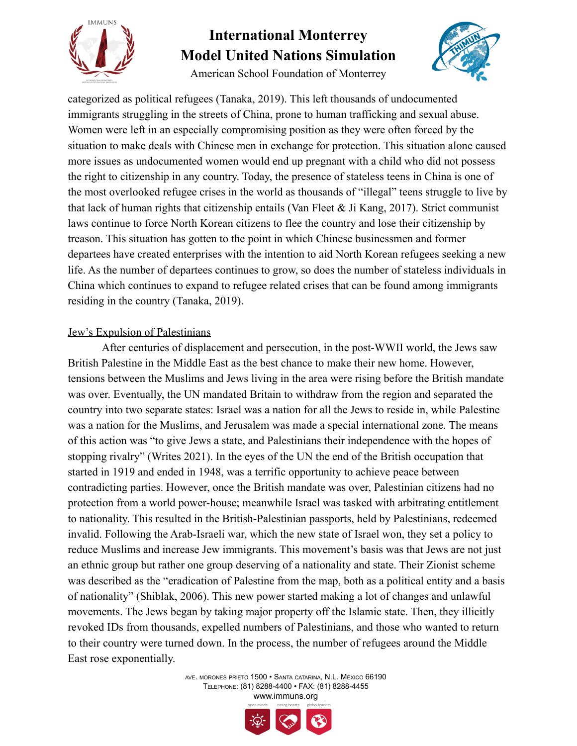

American School Foundation of Monterrey

categorized as political refugees (Tanaka, 2019). This left thousands of undocumented immigrants struggling in the streets of China, prone to human trafficking and sexual abuse. Women were left in an especially compromising position as they were often forced by the situation to make deals with Chinese men in exchange for protection. This situation alone caused more issues as undocumented women would end up pregnant with a child who did not possess the right to citizenship in any country. Today, the presence of stateless teens in China is one of the most overlooked refugee crises in the world as thousands of "illegal" teens struggle to live by that lack of human rights that citizenship entails (Van Fleet  $\&$  Ji Kang, 2017). Strict communist laws continue to force North Korean citizens to flee the country and lose their citizenship by treason. This situation has gotten to the point in which Chinese businessmen and former departees have created enterprises with the intention to aid North Korean refugees seeking a new life. As the number of departees continues to grow, so does the number of stateless individuals in China which continues to expand to refugee related crises that can be found among immigrants residing in the country (Tanaka, 2019).

#### Jew's Expulsion of Palestinians

After centuries of displacement and persecution, in the post-WWII world, the Jews saw British Palestine in the Middle East as the best chance to make their new home. However, tensions between the Muslims and Jews living in the area were rising before the British mandate was over. Eventually, the UN mandated Britain to withdraw from the region and separated the country into two separate states: Israel was a nation for all the Jews to reside in, while Palestine was a nation for the Muslims, and Jerusalem was made a special international zone. The means of this action was "to give Jews a state, and Palestinians their independence with the hopes of stopping rivalry" (Writes 2021). In the eyes of the UN the end of the British occupation that started in 1919 and ended in 1948, was a terrific opportunity to achieve peace between contradicting parties. However, once the British mandate was over, Palestinian citizens had no protection from a world power-house; meanwhile Israel was tasked with arbitrating entitlement to nationality. This resulted in the British-Palestinian passports, held by Palestinians, redeemed invalid. Following the Arab-Israeli war, which the new state of Israel won, they set a policy to reduce Muslims and increase Jew immigrants. This movement's basis was that Jews are not just an ethnic group but rather one group deserving of a nationality and state. Their Zionist scheme was described as the "eradication of Palestine from the map, both as a political entity and a basis of nationality" (Shiblak, 2006). This new power started making a lot of changes and unlawful movements. The Jews began by taking major property off the Islamic state. Then, they illicitly revoked IDs from thousands, expelled numbers of Palestinians, and those who wanted to return to their country were turned down. In the process, the number of refugees around the Middle East rose exponentially.



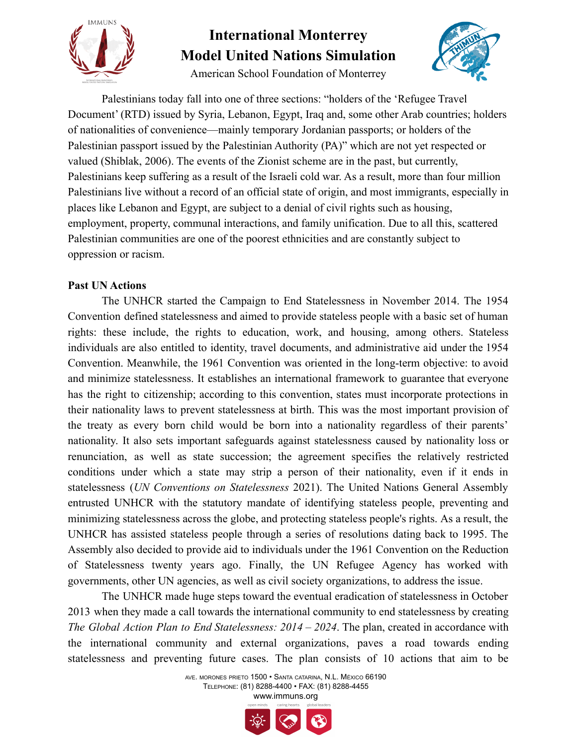

American School Foundation of Monterrey



Palestinians today fall into one of three sections: "holders of the 'Refugee Travel Document' (RTD) issued by Syria, Lebanon, Egypt, Iraq and, some other Arab countries; holders of nationalities of convenience—mainly temporary Jordanian passports; or holders of the Palestinian passport issued by the Palestinian Authority (PA)" which are not yet respected or valued (Shiblak, 2006). The events of the Zionist scheme are in the past, but currently, Palestinians keep suffering as a result of the Israeli cold war. As a result, more than four million Palestinians live without a record of an official state of origin, and most immigrants, especially in places like Lebanon and Egypt, are subject to a denial of civil rights such as housing, employment, property, communal interactions, and family unification. Due to all this, scattered Palestinian communities are one of the poorest ethnicities and are constantly subject to oppression or racism.

### **Past UN Actions**

The UNHCR started the Campaign to End Statelessness in November 2014. The 1954 Convention defined statelessness and aimed to provide stateless people with a basic set of human rights: these include, the rights to education, work, and housing, among others. Stateless individuals are also entitled to identity, travel documents, and administrative aid under the 1954 Convention. Meanwhile, the 1961 Convention was oriented in the long-term objective: to avoid and minimize statelessness. It establishes an international framework to guarantee that everyone has the right to citizenship; according to this convention, states must incorporate protections in their nationality laws to prevent statelessness at birth. This was the most important provision of the treaty as every born child would be born into a nationality regardless of their parents' nationality. It also sets important safeguards against statelessness caused by nationality loss or renunciation, as well as state succession; the agreement specifies the relatively restricted conditions under which a state may strip a person of their nationality, even if it ends in statelessness (*UN Conventions on Statelessness* 2021). The United Nations General Assembly entrusted UNHCR with the statutory mandate of identifying stateless people, preventing and minimizing statelessness across the globe, and protecting stateless people's rights. As a result, the UNHCR has assisted stateless people through a series of resolutions dating back to 1995. The Assembly also decided to provide aid to individuals under the 1961 Convention on the Reduction of Statelessness twenty years ago. Finally, the UN Refugee Agency has worked with governments, other UN agencies, as well as civil society organizations, to address the issue.

The UNHCR made huge steps toward the eventual eradication of statelessness in October 2013 when they made a call towards the international community to end statelessness by creating *The Global Action Plan to End Statelessness: 2014 – 2024*. The plan, created in accordance with the international community and external organizations, paves a road towards ending statelessness and preventing future cases. The plan consists of 10 actions that aim to be

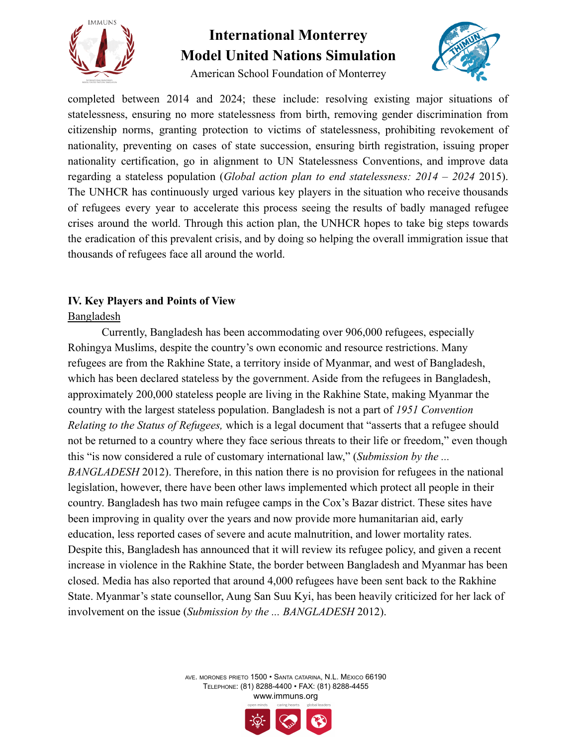



American School Foundation of Monterrey

completed between 2014 and 2024; these include: resolving existing major situations of statelessness, ensuring no more statelessness from birth, removing gender discrimination from citizenship norms, granting protection to victims of statelessness, prohibiting revokement of nationality, preventing on cases of state succession, ensuring birth registration, issuing proper nationality certification, go in alignment to UN Statelessness Conventions, and improve data regarding a stateless population (*Global action plan to end statelessness: 2014 – 2024* 2015). The UNHCR has continuously urged various key players in the situation who receive thousands of refugees every year to accelerate this process seeing the results of badly managed refugee crises around the world. Through this action plan, the UNHCR hopes to take big steps towards the eradication of this prevalent crisis, and by doing so helping the overall immigration issue that thousands of refugees face all around the world.

### **IV. Key Players and Points of View**

### Bangladesh

Currently, Bangladesh has been accommodating over 906,000 refugees, especially Rohingya Muslims, despite the country's own economic and resource restrictions. Many refugees are from the Rakhine State, a territory inside of Myanmar, and west of Bangladesh, which has been declared stateless by the government. Aside from the refugees in Bangladesh, approximately 200,000 stateless people are living in the Rakhine State, making Myanmar the country with the largest stateless population. Bangladesh is not a part of *1951 Convention Relating to the Status of Refugees,* which is a legal document that "asserts that a refugee should not be returned to a country where they face serious threats to their life or freedom," even though this "is now considered a rule of customary international law," (*Submission by the ... BANGLADESH* 2012). Therefore, in this nation there is no provision for refugees in the national legislation, however, there have been other laws implemented which protect all people in their country. Bangladesh has two main refugee camps in the Cox's Bazar district. These sites have been improving in quality over the years and now provide more humanitarian aid, early education, less reported cases of severe and acute malnutrition, and lower mortality rates. Despite this, Bangladesh has announced that it will review its refugee policy, and given a recent increase in violence in the Rakhine State, the border between Bangladesh and Myanmar has been closed. Media has also reported that around 4,000 refugees have been sent back to the Rakhine State. Myanmar's state counsellor, Aung San Suu Kyi, has been heavily criticized for her lack of involvement on the issue (*Submission by the ... BANGLADESH* 2012).

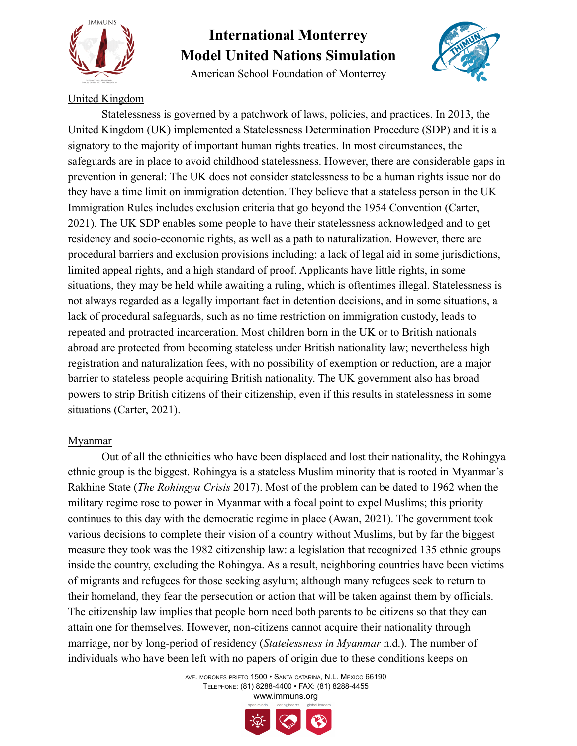

American School Foundation of Monterrey



#### United Kingdom

Statelessness is governed by a patchwork of laws, policies, and practices. In 2013, the United Kingdom (UK) implemented a Statelessness Determination Procedure (SDP) and it is a signatory to the majority of important human rights treaties. In most circumstances, the safeguards are in place to avoid childhood statelessness. However, there are considerable gaps in prevention in general: The UK does not consider statelessness to be a human rights issue nor do they have a time limit on immigration detention. They believe that a stateless person in the UK Immigration Rules includes exclusion criteria that go beyond the 1954 Convention (Carter, 2021). The UK SDP enables some people to have their statelessness acknowledged and to get residency and socio-economic rights, as well as a path to naturalization. However, there are procedural barriers and exclusion provisions including: a lack of legal aid in some jurisdictions, limited appeal rights, and a high standard of proof. Applicants have little rights, in some situations, they may be held while awaiting a ruling, which is oftentimes illegal. Statelessness is not always regarded as a legally important fact in detention decisions, and in some situations, a lack of procedural safeguards, such as no time restriction on immigration custody, leads to repeated and protracted incarceration. Most children born in the UK or to British nationals abroad are protected from becoming stateless under British nationality law; nevertheless high registration and naturalization fees, with no possibility of exemption or reduction, are a major barrier to stateless people acquiring British nationality. The UK government also has broad powers to strip British citizens of their citizenship, even if this results in statelessness in some situations (Carter, 2021).

#### Myanmar

Out of all the ethnicities who have been displaced and lost their nationality, the Rohingya ethnic group is the biggest. Rohingya is a stateless Muslim minority that is rooted in Myanmar's Rakhine State (*The Rohingya Crisis* 2017). Most of the problem can be dated to 1962 when the military regime rose to power in Myanmar with a focal point to expel Muslims; this priority continues to this day with the democratic regime in place (Awan, 2021). The government took various decisions to complete their vision of a country without Muslims, but by far the biggest measure they took was the 1982 citizenship law: a legislation that recognized 135 ethnic groups inside the country, excluding the Rohingya. As a result, neighboring countries have been victims of migrants and refugees for those seeking asylum; although many refugees seek to return to their homeland, they fear the persecution or action that will be taken against them by officials. The citizenship law implies that people born need both parents to be citizens so that they can attain one for themselves. However, non-citizens cannot acquire their nationality through marriage, nor by long-period of residency (*Statelessness in Myanmar* n.d.). The number of individuals who have been left with no papers of origin due to these conditions keeps on



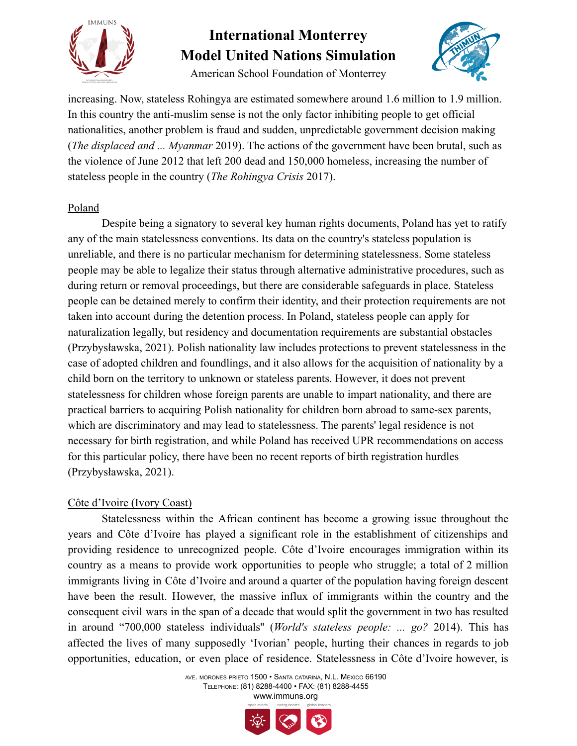

American School Foundation of Monterrey



increasing. Now, stateless Rohingya are estimated somewhere around 1.6 million to 1.9 million. In this country the anti-muslim sense is not the only factor inhibiting people to get official nationalities, another problem is fraud and sudden, unpredictable government decision making (*The displaced and ... Myanmar* 2019). The actions of the government have been brutal, such as the violence of June 2012 that left 200 dead and 150,000 homeless, increasing the number of stateless people in the country (*The Rohingya Crisis* 2017).

#### Poland

Despite being a signatory to several key human rights documents, Poland has yet to ratify any of the main statelessness conventions. Its data on the country's stateless population is unreliable, and there is no particular mechanism for determining statelessness. Some stateless people may be able to legalize their status through alternative administrative procedures, such as during return or removal proceedings, but there are considerable safeguards in place. Stateless people can be detained merely to confirm their identity, and their protection requirements are not taken into account during the detention process. In Poland, stateless people can apply for naturalization legally, but residency and documentation requirements are substantial obstacles (Przybysławska, 2021). Polish nationality law includes protections to prevent statelessness in the case of adopted children and foundlings, and it also allows for the acquisition of nationality by a child born on the territory to unknown or stateless parents. However, it does not prevent statelessness for children whose foreign parents are unable to impart nationality, and there are practical barriers to acquiring Polish nationality for children born abroad to same-sex parents, which are discriminatory and may lead to statelessness. The parents' legal residence is not necessary for birth registration, and while Poland has received UPR recommendations on access for this particular policy, there have been no recent reports of birth registration hurdles (Przybysławska, 2021).

#### Côte d'Ivoire (Ivory Coast)

Statelessness within the African continent has become a growing issue throughout the years and Côte d'Ivoire has played a significant role in the establishment of citizenships and providing residence to unrecognized people. Côte d'Ivoire encourages immigration within its country as a means to provide work opportunities to people who struggle; a total of 2 million immigrants living in Côte d'Ivoire and around a quarter of the population having foreign descent have been the result. However, the massive influx of immigrants within the country and the consequent civil wars in the span of a decade that would split the government in two has resulted in around "700,000 stateless individuals'' (*World's stateless people: ... go?* 2014). This has affected the lives of many supposedly 'Ivorian' people, hurting their chances in regards to job opportunities, education, or even place of residence. Statelessness in Côte d'Ivoire however, is



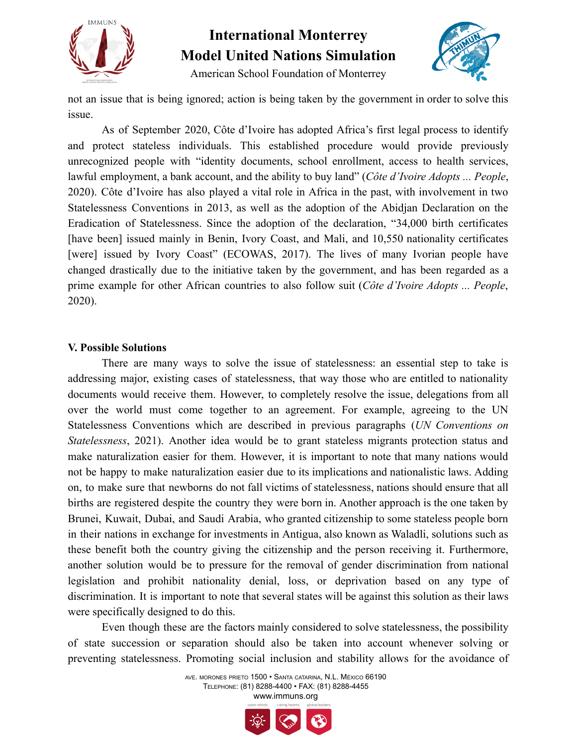



American School Foundation of Monterrey

not an issue that is being ignored; action is being taken by the government in order to solve this issue.

As of September 2020, Côte d'Ivoire has adopted Africa's first legal process to identify and protect stateless individuals. This established procedure would provide previously unrecognized people with "identity documents, school enrollment, access to health services, lawful employment, a bank account, and the ability to buy land" (*Côte d'Ivoire Adopts ... People*, 2020). Côte d'Ivoire has also played a vital role in Africa in the past, with involvement in two Statelessness Conventions in 2013, as well as the adoption of the Abidjan Declaration on the Eradication of Statelessness. Since the adoption of the declaration, "34,000 birth certificates [have been] issued mainly in Benin, Ivory Coast, and Mali, and 10,550 nationality certificates [were] issued by Ivory Coast" (ECOWAS, 2017). The lives of many Ivorian people have changed drastically due to the initiative taken by the government, and has been regarded as a prime example for other African countries to also follow suit (*Côte d'Ivoire Adopts ... People*, 2020).

#### **V. Possible Solutions**

There are many ways to solve the issue of statelessness: an essential step to take is addressing major, existing cases of statelessness, that way those who are entitled to nationality documents would receive them. However, to completely resolve the issue, delegations from all over the world must come together to an agreement. For example, agreeing to the UN Statelessness Conventions which are described in previous paragraphs (*UN Conventions on Statelessness*, 2021). Another idea would be to grant stateless migrants protection status and make naturalization easier for them. However, it is important to note that many nations would not be happy to make naturalization easier due to its implications and nationalistic laws. Adding on, to make sure that newborns do not fall victims of statelessness, nations should ensure that all births are registered despite the country they were born in. Another approach is the one taken by Brunei, Kuwait, Dubai, and Saudi Arabia, who granted citizenship to some stateless people born in their nations in exchange for investments in Antigua, also known as Waladli, solutions such as these benefit both the country giving the citizenship and the person receiving it. Furthermore, another solution would be to pressure for the removal of gender discrimination from national legislation and prohibit nationality denial, loss, or deprivation based on any type of discrimination. It is important to note that several states will be against this solution as their laws were specifically designed to do this.

Even though these are the factors mainly considered to solve statelessness, the possibility of state succession or separation should also be taken into account whenever solving or preventing statelessness. Promoting social inclusion and stability allows for the avoidance of

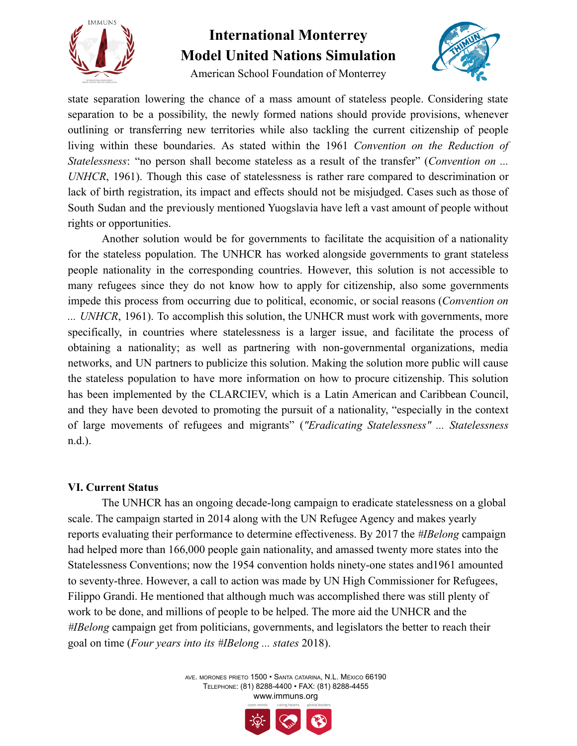

American School Foundation of Monterrey



state separation lowering the chance of a mass amount of stateless people. Considering state separation to be a possibility, the newly formed nations should provide provisions, whenever outlining or transferring new territories while also tackling the current citizenship of people living within these boundaries. As stated within the 1961 *Convention on the Reduction of Statelessness*: "no person shall become stateless as a result of the transfer" (*Convention on ... UNHCR*, 1961). Though this case of statelessness is rather rare compared to descrimination or lack of birth registration, its impact and effects should not be misjudged. Cases such as those of South Sudan and the previously mentioned Yuogslavia have left a vast amount of people without rights or opportunities.

Another solution would be for governments to facilitate the acquisition of a nationality for the stateless population. The UNHCR has worked alongside governments to grant stateless people nationality in the corresponding countries. However, this solution is not accessible to many refugees since they do not know how to apply for citizenship, also some governments impede this process from occurring due to political, economic, or social reasons (*Convention on ... UNHCR*, 1961). To accomplish this solution, the UNHCR must work with governments, more specifically, in countries where statelessness is a larger issue, and facilitate the process of obtaining a nationality; as well as partnering with non-governmental organizations, media networks, and UN partners to publicize this solution. Making the solution more public will cause the stateless population to have more information on how to procure citizenship. This solution has been implemented by the CLARCIEV, which is a Latin American and Caribbean Council, and they have been devoted to promoting the pursuit of a nationality, "especially in the context of large movements of refugees and migrants" (*"Eradicating Statelessness" ... Statelessness* n.d.).

#### **VI. Current Status**

The UNHCR has an ongoing decade-long campaign to eradicate statelessness on a global scale. The campaign started in 2014 along with the UN Refugee Agency and makes yearly reports evaluating their performance to determine effectiveness. By 2017 the *#IBelong* campaign had helped more than 166,000 people gain nationality, and amassed twenty more states into the Statelessness Conventions; now the 1954 convention holds ninety-one states and1961 amounted to seventy-three. However, a call to action was made by UN High Commissioner for Refugees, Filippo Grandi. He mentioned that although much was accomplished there was still plenty of work to be done, and millions of people to be helped. The more aid the UNHCR and the *#IBelong* campaign get from politicians, governments, and legislators the better to reach their goal on time (*Four years into its #IBelong ... states* 2018).

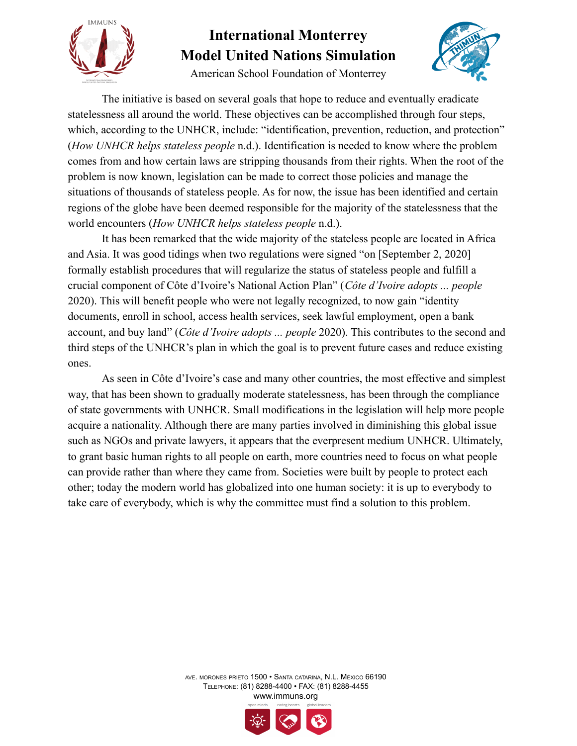

American School Foundation of Monterrey



The initiative is based on several goals that hope to reduce and eventually eradicate statelessness all around the world. These objectives can be accomplished through four steps, which, according to the UNHCR, include: "identification, prevention, reduction, and protection" (*How UNHCR helps stateless people* n.d.). Identification is needed to know where the problem comes from and how certain laws are stripping thousands from their rights. When the root of the problem is now known, legislation can be made to correct those policies and manage the situations of thousands of stateless people. As for now, the issue has been identified and certain regions of the globe have been deemed responsible for the majority of the statelessness that the world encounters (*How UNHCR helps stateless people* n.d.).

It has been remarked that the wide majority of the stateless people are located in Africa and Asia. It was good tidings when two regulations were signed "on [September 2, 2020] formally establish procedures that will regularize the status of stateless people and fulfill a crucial component of Côte d'Ivoire's National Action Plan" (*Côte d'Ivoire adopts ... people* 2020). This will benefit people who were not legally recognized, to now gain "identity documents, enroll in school, access health services, seek lawful employment, open a bank account, and buy land" (*Côte d'Ivoire adopts ... people* 2020). This contributes to the second and third steps of the UNHCR's plan in which the goal is to prevent future cases and reduce existing ones.

As seen in Côte d'Ivoire's case and many other countries, the most effective and simplest way, that has been shown to gradually moderate statelessness, has been through the compliance of state governments with UNHCR. Small modifications in the legislation will help more people acquire a nationality. Although there are many parties involved in diminishing this global issue such as NGOs and private lawyers, it appears that the everpresent medium UNHCR. Ultimately, to grant basic human rights to all people on earth, more countries need to focus on what people can provide rather than where they came from. Societies were built by people to protect each other; today the modern world has globalized into one human society: it is up to everybody to take care of everybody, which is why the committee must find a solution to this problem.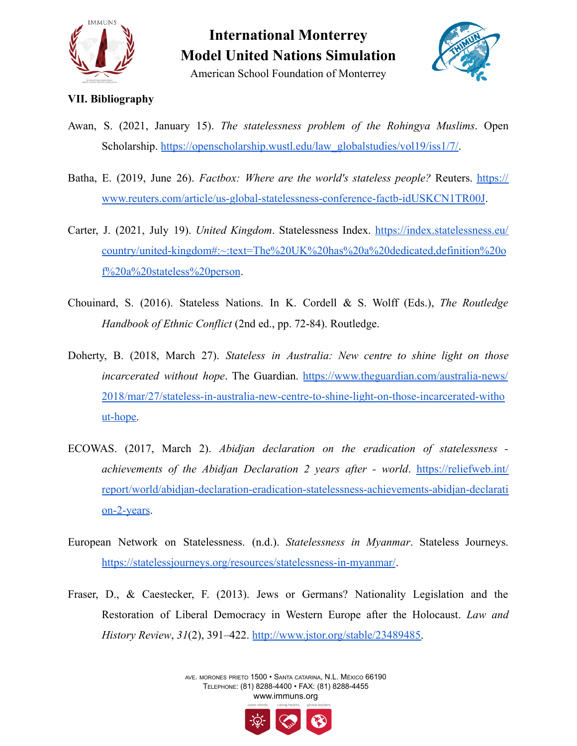



#### **VII. Bibliography**

- Awan, S. (2021, January 15). *The statelessness problem of the Rohingya Muslims*. Open Scholarship. [https://openscholarship.wustl.edu/law\\_globalstudies/vol19/iss1/7/.](https://openscholarship.wustl.edu/law_globalstudies/vol19/iss1/7/)
- Batha, E. (2019, June 26). *Factbox: Where are the world's stateless people?* Reuters. [https://](https://www.reuters.com/article/us-global-statelessness-conference-factb-idUSKCN1TR00J) [www.reuters.com/article/us-global-statelessness-conference-factb-idUSKCN1TR00J](http://www.reuters.com/article/us-global-statelessness-conference-factb-idUSKCN1TR00J).
- Carter, J. (2021, July 19). *United Kingdom*. Statelessness Index. [https://index.statelessness.eu/](https://index.statelessness.eu/country/united-kingdom#:~:text=The%20UK%20has%20a%20dedicated,definition%20of%20a%20stateless%20person) [country/united-kingdom#:~:text=The%20UK%20has%20a%20dedicated,definition%20o](https://index.statelessness.eu/country/united-kingdom#:~:text=The%20UK%20has%20a%20dedicated,definition%20of%20a%20stateless%20person) [f%20a%20stateless%20person](https://index.statelessness.eu/country/united-kingdom#:~:text=The%20UK%20has%20a%20dedicated,definition%20of%20a%20stateless%20person).
- Chouinard, S. (2016). Stateless Nations. In K. Cordell & S. Wolff (Eds.), *The Routledge Handbook of Ethnic Conflict* (2nd ed., pp. 72-84). Routledge.
- Doherty, B. (2018, March 27). *Stateless in Australia: New centre to shine light on those incarcerated without hope*. The Guardian. [https://www.theguardian.com/australia-news/](https://www.theguardian.com/australia-news/2018/mar/27/stateless-in-australia-new-centre-to-shine-light-on-those-incarcerated-without-hope) [2018/mar/27/stateless-in-australia-new-centre-to-shine-light-on-those-incarcerated-witho](https://www.theguardian.com/australia-news/2018/mar/27/stateless-in-australia-new-centre-to-shine-light-on-those-incarcerated-without-hope) [ut-hope.](https://www.theguardian.com/australia-news/2018/mar/27/stateless-in-australia-new-centre-to-shine-light-on-those-incarcerated-without-hope)
- ECOWAS. (2017, March 2). *Abidjan declaration on the eradication of statelessness achievements of the Abidjan Declaration 2 years after - world*. [https://reliefweb.int/](https://reliefweb.int/report/world/abidjan-declaration-eradication-statelessness-achievements-abidjan-declaration-2-years) [report/world/abidjan-declaration-eradication-statelessness-achievements-abidjan-declarati](https://reliefweb.int/report/world/abidjan-declaration-eradication-statelessness-achievements-abidjan-declaration-2-years) [on-2-years](https://reliefweb.int/report/world/abidjan-declaration-eradication-statelessness-achievements-abidjan-declaration-2-years).
- European Network on Statelessness. (n.d.). *Statelessness in Myanmar*. Stateless Journeys. <https://statelessjourneys.org/resources/statelessness-in-myanmar/>.
- Fraser, D., & Caestecker, F. (2013). Jews or Germans? Nationality Legislation and the Restoration of Liberal Democracy in Western Europe after the Holocaust. *Law and History Review*, *31*(2), 391–422. [http://www.jstor.org/stable/23489485.](http://www.jstor.org/stable/23489485)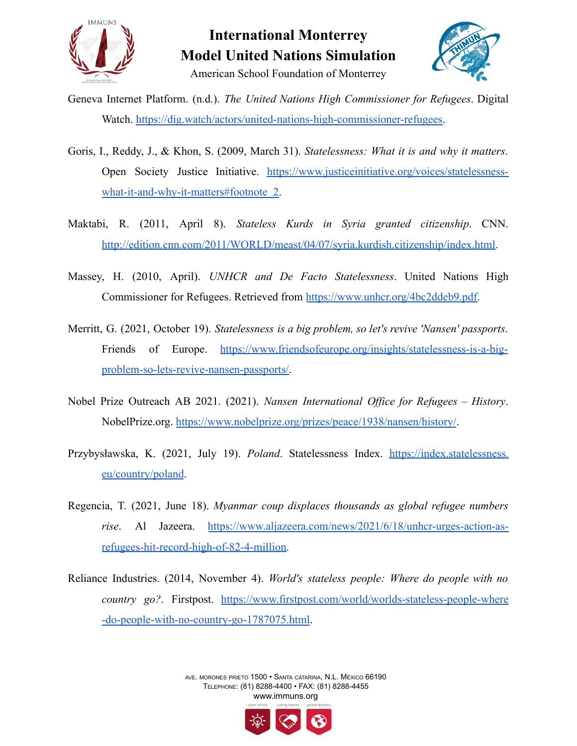



- Geneva Internet Platform. (n.d.). *The United Nations High Commissioner for Refugees*. Digital Watch. [https://dig.watch/actors/united-nations-high-commissioner-refugees.](https://dig.watch/actors/united-nations-high-commissioner-refugees)
- Goris, I., Reddy, J., & Khon, S. (2009, March 31). *Statelessness: What it is and why it matters*. Open Society Justice Initiative. [https://www.justiceinitiative.org/voices/statelessness](https://www.justiceinitiative.org/voices/statelessness-what-it-and-why-it-matters#footnote_2)[what-it-and-why-it-matters#footnote\\_2.](https://www.justiceinitiative.org/voices/statelessness-what-it-and-why-it-matters#footnote_2)
- Maktabi, R. (2011, April 8). *Stateless Kurds in Syria granted citizenship*. CNN. [http://edition.cnn.com/2011/WORLD/meast/04/07/syria.kurdish.citizenship/index.html.](http://edition.cnn.com/2011/WORLD/meast/04/07/syria.kurdish.citizenship/index.html)
- Massey, H. (2010, April). *UNHCR and De Facto Statelessness*. United Nations High Commissioner for Refugees. Retrieved from [https://www.unhcr.org/4bc2ddeb9.pdf.](https://www.unhcr.org/4bc2ddeb9.pdf)
- Merritt, G. (2021, October 19). *Statelessness is a big problem, so let's revive 'Nansen' passports*. Friends of Europe. [https://www.friendsofeurope.org/insights/statelessness-is-a-big](https://www.friendsofeurope.org/insights/statelessness-is-a-big-problem-so-lets-revive-nansen-passports/)[problem-so-lets-revive-nansen-passports/.](https://www.friendsofeurope.org/insights/statelessness-is-a-big-problem-so-lets-revive-nansen-passports/)
- Nobel Prize Outreach AB 2021. (2021). *Nansen International Office for Refugees – History*. NobelPrize.org. <https://www.nobelprize.org/prizes/peace/1938/nansen/history/>.
- Przybysławska, K. (2021, July 19). *Poland*. Statelessness Index. [https://index.statelessness.](https://index.statelessness.eu/country/poland) [eu/country/poland](https://index.statelessness.eu/country/poland).
- Regencia, T. (2021, June 18). *Myanmar coup displaces thousands as global refugee numbers rise*. Al Jazeera. [https://www.aljazeera.com/news/2021/6/18/unhcr-urges-action-as](https://www.aljazeera.com/news/2021/6/18/unhcr-urges-action-as-refugees-hit-record-high-of-82-4-million)[refugees-hit-record-high-of-82-4-million.](https://www.aljazeera.com/news/2021/6/18/unhcr-urges-action-as-refugees-hit-record-high-of-82-4-million)
- Reliance Industries. (2014, November 4). *World's stateless people: Where do people with no country go?*. Firstpost. [https://www.firstpost.com/world/worlds-stateless-people-where](https://www.firstpost.com/world/worlds-stateless-people-where-do-people-with-no-country-go-1787075.html) [-do-people-with-no-country-go-1787075.html.](https://www.firstpost.com/world/worlds-stateless-people-where-do-people-with-no-country-go-1787075.html)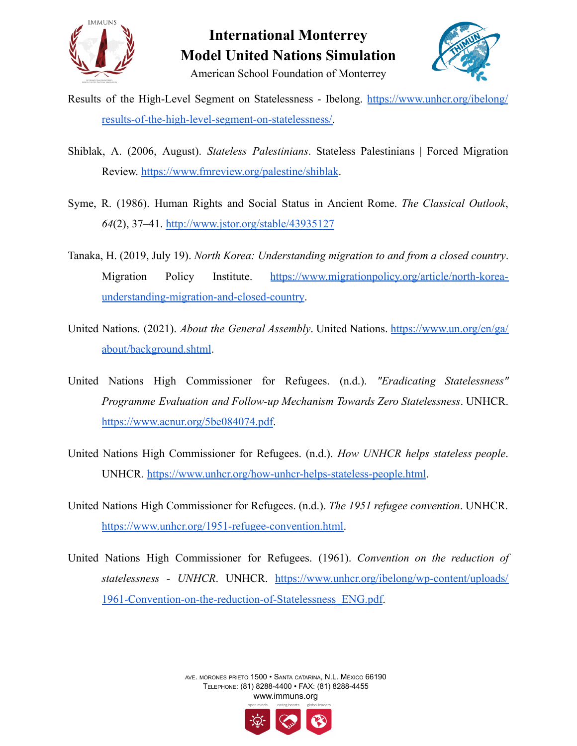



American School Foundation of Monterrey

- Results of the High-Level Segment on Statelessness Ibelong. [https://www.unhcr.org/ibelong/](https://www.unhcr.org/ibelong/results-of-the-high-level-segment-on-statelessness/) [results-of-the-high-level-segment-on-statelessness/.](https://www.unhcr.org/ibelong/results-of-the-high-level-segment-on-statelessness/)
- Shiblak, A. (2006, August). *Stateless Palestinians*. Stateless Palestinians | Forced Migration Review. <https://www.fmreview.org/palestine/shiblak>.
- Syme, R. (1986). Human Rights and Social Status in Ancient Rome. *The Classical Outlook*, *64*(2), 37–41. <http://www.jstor.org/stable/43935127>
- Tanaka, H. (2019, July 19). *North Korea: Understanding migration to and from a closed country*. Migration Policy Institute. [https://www.migrationpolicy.org/article/north-korea](https://www.migrationpolicy.org/article/north-korea-understanding-migration-and-closed-country)[understanding-migration-and-closed-country](https://www.migrationpolicy.org/article/north-korea-understanding-migration-and-closed-country).
- United Nations. (2021). *About the General Assembly*. United Nations. [https://www.un.org/en/ga/](https://www.un.org/en/ga/about/background.shtml) [about/background.shtml](https://www.un.org/en/ga/about/background.shtml).
- United Nations High Commissioner for Refugees. (n.d.). *"Eradicating Statelessness" Programme Evaluation and Follow-up Mechanism Towards Zero Statelessness*. UNHCR. [https://www.acnur.org/5be084074.pdf.](https://www.acnur.org/5be084074.pdf)
- United Nations High Commissioner for Refugees. (n.d.). *How UNHCR helps stateless people*. UNHCR. <https://www.unhcr.org/how-unhcr-helps-stateless-people.html>.
- United Nations High Commissioner for Refugees. (n.d.). *The 1951 refugee convention*. UNHCR. [https://www.unhcr.org/1951-refugee-convention.html.](https://www.unhcr.org/1951-refugee-convention.html)
- United Nations High Commissioner for Refugees. (1961). *Convention on the reduction of statelessness - UNHCR*. UNHCR. [https://www.unhcr.org/ibelong/wp-content/uploads/](https://www.unhcr.org/ibelong/wp-content/uploads/1961-Convention-on-the-reduction-of-Statelessness_ENG.pdf) [1961-Convention-on-the-reduction-of-Statelessness\\_ENG.pdf](https://www.unhcr.org/ibelong/wp-content/uploads/1961-Convention-on-the-reduction-of-Statelessness_ENG.pdf).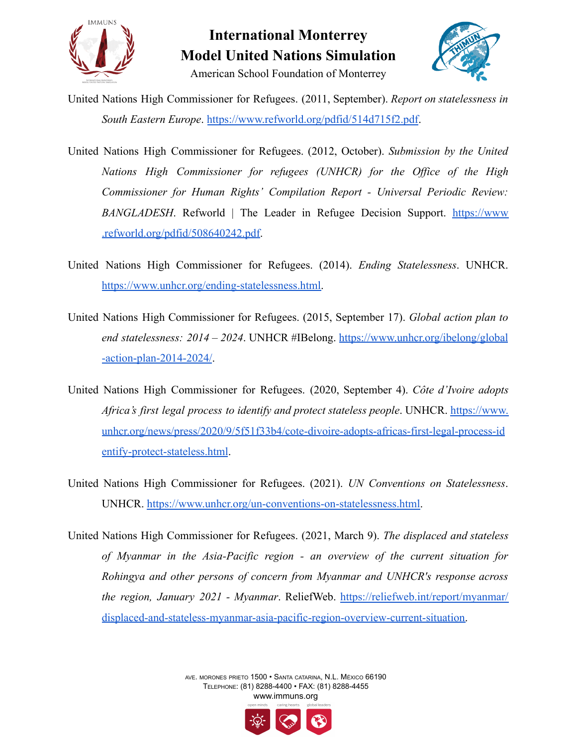



American School Foundation of Monterrey

United Nations High Commissioner for Refugees. (2011, September). *Report on statelessness in South Eastern Europe*. <https://www.refworld.org/pdfid/514d715f2.pdf>.

- United Nations High Commissioner for Refugees. (2012, October). *Submission by the United Nations High Commissioner for refugees (UNHCR) for the Office of the High Commissioner for Human Rights' Compilation Report - Universal Periodic Review: BANGLADESH*. Refworld | The Leader in Refugee Decision Support. [https://www](https://www.refworld.org/pdfid/508640242.pdf) [.refworld.org/pdfid/508640242.pdf](https://www.refworld.org/pdfid/508640242.pdf).
- United Nations High Commissioner for Refugees. (2014). *Ending Statelessness*. UNHCR. [https://www.unhcr.org/ending-statelessness.html.](https://www.unhcr.org/ending-statelessness.html)
- United Nations High Commissioner for Refugees. (2015, September 17). *Global action plan to end statelessness: 2014 – 2024*. UNHCR #IBelong. [https://www.unhcr.org/ibelong/global](https://www.unhcr.org/ibelong/global-action-plan-2014-2024/) [-action-plan-2014-2024/](https://www.unhcr.org/ibelong/global-action-plan-2014-2024/).
- United Nations High Commissioner for Refugees. (2020, September 4). *Côte d'Ivoire adopts Africa's first legal process to identify and protect stateless people*. UNHCR. [https://www.](https://www.unhcr.org/news/press/2020/9/5f51f33b4/cote-divoire-adopts-africas-first-legal-process-identify-protect-stateless.html) [unhcr.org/news/press/2020/9/5f51f33b4/cote-divoire-adopts-africas-first-legal-process-id](https://www.unhcr.org/news/press/2020/9/5f51f33b4/cote-divoire-adopts-africas-first-legal-process-identify-protect-stateless.html) [entify-protect-stateless.html](https://www.unhcr.org/news/press/2020/9/5f51f33b4/cote-divoire-adopts-africas-first-legal-process-identify-protect-stateless.html).
- United Nations High Commissioner for Refugees. (2021). *UN Conventions on Statelessness*. UNHCR. [https://www.unhcr.org/un-conventions-on-statelessness.html.](https://www.unhcr.org/un-conventions-on-statelessness.html)
- United Nations High Commissioner for Refugees. (2021, March 9). *The displaced and stateless of Myanmar in the Asia-Pacific region - an overview of the current situation for Rohingya and other persons of concern from Myanmar and UNHCR's response across the region, January 2021 - Myanmar*. ReliefWeb. [https://reliefweb.int/report/myanmar/](https://reliefweb.int/report/myanmar/displaced-and-stateless-myanmar-asia-pacific-region-overview-current-situation) [displaced-and-stateless-myanmar-asia-pacific-region-overview-current-situation.](https://reliefweb.int/report/myanmar/displaced-and-stateless-myanmar-asia-pacific-region-overview-current-situation)